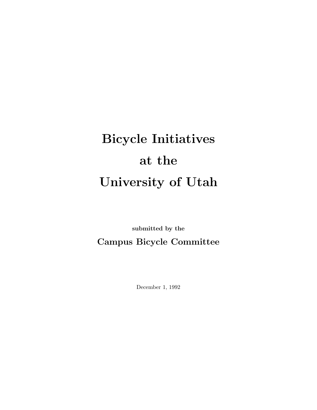# Bicycle Initiatives at the University of Utah

submitted by the Campus Bicycle Committee

December 1, 1992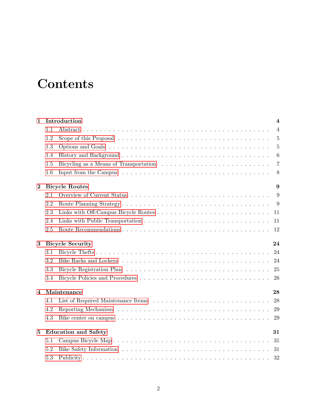# **Contents**

| $\mathbf{1}$   |                                   | Introduction<br>$\overline{\mathbf{4}}$ |                 |  |  |  |  |
|----------------|-----------------------------------|-----------------------------------------|-----------------|--|--|--|--|
|                | 1.1                               |                                         | $\overline{4}$  |  |  |  |  |
|                | 1.2                               |                                         | $\overline{5}$  |  |  |  |  |
|                | 1.3                               |                                         | $\overline{5}$  |  |  |  |  |
|                | 1.4                               |                                         | $6\phantom{.}6$ |  |  |  |  |
|                | 1.5                               |                                         | $\overline{7}$  |  |  |  |  |
|                | 1.6                               |                                         | 8               |  |  |  |  |
| $\bf{2}$       |                                   | <b>Bicycle Routes</b><br>9              |                 |  |  |  |  |
|                | 2.1                               |                                         | 9               |  |  |  |  |
|                | 2.2                               |                                         | 9               |  |  |  |  |
|                | 2.3                               |                                         | 11              |  |  |  |  |
|                | 2.4                               |                                         | 11              |  |  |  |  |
|                | 2.5                               |                                         | 12              |  |  |  |  |
| 3              | <b>Bicycle Security</b><br>24     |                                         |                 |  |  |  |  |
|                | 3.1                               |                                         | 24              |  |  |  |  |
|                | 3.2                               |                                         | 24              |  |  |  |  |
|                | 3.3                               |                                         | 25              |  |  |  |  |
|                | 3.4                               |                                         | 26              |  |  |  |  |
| $\overline{4}$ | Maintenance<br>28                 |                                         |                 |  |  |  |  |
|                | 4.1                               |                                         | 28              |  |  |  |  |
|                | 4.2                               |                                         | 29              |  |  |  |  |
|                | 4.3                               |                                         | 29              |  |  |  |  |
| $\bf{5}$       | <b>Education and Safety</b><br>31 |                                         |                 |  |  |  |  |
|                | 5.1                               |                                         | 31              |  |  |  |  |
|                | 5.2                               |                                         | 31              |  |  |  |  |
|                | 5.3                               |                                         | 32              |  |  |  |  |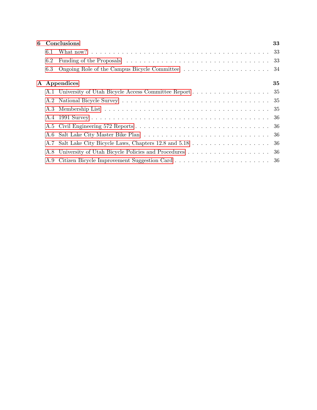|     | 6 Conclusions                                             | 33 |
|-----|-----------------------------------------------------------|----|
| 6.1 |                                                           |    |
| 6.2 |                                                           |    |
| 6.3 |                                                           |    |
|     | A Appendices                                              | 35 |
|     | A.1 University of Utah Bicycle Access Committee Report 35 |    |
|     |                                                           |    |
|     |                                                           |    |
|     |                                                           |    |
|     |                                                           |    |
|     |                                                           |    |
|     |                                                           |    |
|     |                                                           |    |
|     |                                                           |    |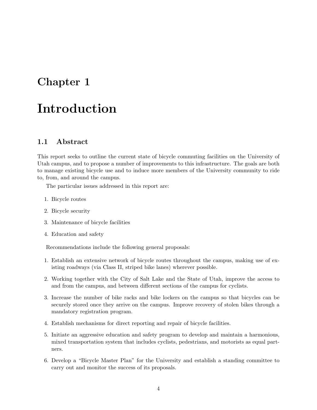# <span id="page-3-0"></span>Chapter 1

# Introduction

#### <span id="page-3-1"></span>1.1 Abstract

This report seeks to outline the current state of bicycle commuting facilities on the University of Utah campus, and to propose a number of improvements to this infrastructure. The goals are both to manage existing bicycle use and to induce more members of the University community to ride to, from, and around the campus.

The particular issues addressed in this report are:

- 1. Bicycle routes
- 2. Bicycle security
- 3. Maintenance of bicycle facilities
- 4. Education and safety

Recommendations include the following general proposals:

- 1. Establish an extensive network of bicycle routes throughout the campus, making use of existing roadways (via Class II, striped bike lanes) wherever possible.
- 2. Working together with the City of Salt Lake and the State of Utah, improve the access to and from the campus, and between different sections of the campus for cyclists.
- 3. Increase the number of bike racks and bike lockers on the campus so that bicycles can be securely stored once they arrive on the campus. Improve recovery of stolen bikes through a mandatory registration program.
- 4. Establish mechanisms for direct reporting and repair of bicycle facilities.
- 5. Initiate an aggressive education and safety program to develop and maintain a harmonious, mixed transportation system that includes cyclists, pedestrians, and motorists as equal partners.
- 6. Develop a "Bicycle Master Plan" for the University and establish a standing committee to carry out and monitor the success of its proposals.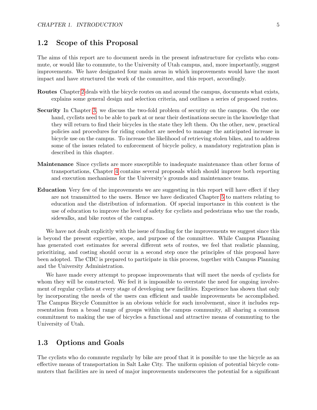#### <span id="page-4-0"></span>1.2 Scope of this Proposal

The aims of this report are to document needs in the present infrastructure for cyclists who commute, or would like to commute, to the University of Utah campus, and, more importantly, suggest improvements. We have designated four main areas in which improvements would have the most impact and have structured the work of the committee, and this report, accordingly.

- Routes Chapter [2](#page-8-0) deals with the bicycle routes on and around the campus, documents what exists, explains some general design and selection criteria, and outlines a series of proposed routes.
- Security In Chapter [3,](#page-23-0) we discuss the two-fold problem of security on the campus. On the one hand, cyclists need to be able to park at or near their destinations secure in the knowledge that they will return to find their bicycles in the state they left them. On the other, new, practical policies and procedures for riding conduct are needed to manage the anticipated increase in bicycle use on the campus. To increase the likelihood of retrieving stolen bikes, and to address some of the issues related to enforcement of bicycle policy, a mandatory registration plan is described in this chapter.
- Maintenance Since cyclists are more susceptible to inadequate maintenance than other forms of transportations, Chapter [4](#page-27-0) contains several proposals which should improve both reporting and execution mechanisms for the University's grounds and maintenance teams.
- Education Very few of the improvements we are suggesting in this report will have effect if they are not transmitted to the users. Hence we have dedicated Chapter [5](#page-30-0) to matters relating to education and the distribution of information. Of special importance in this context is the use of education to improve the level of safety for cyclists and pedestrians who use the roads, sidewalks, and bike routes of the campus.

We have not dealt explicitly with the issue of funding for the improvements we suggest since this is beyond the present expertise, scope, and purpose of the committee. While Campus Planning has generated cost estimates for several different sets of routes, we feel that realistic planning, prioritizing, and costing should occur in a second step once the principles of this proposal have been adopted. The CBC is prepared to participate in this process, together with Campus Planning and the University Administration.

We have made every attempt to propose improvements that will meet the needs of cyclists for whom they will be constructed. We feel it is impossible to overstate the need for ongoing involvement of regular cyclists at every stage of developing new facilities. Experience has shown that only by incorporating the needs of the users can efficient and usable improvements be accomplished. The Campus Bicycle Committee is an obvious vehicle for such involvement, since it includes representation from a broad range of groups within the campus community, all sharing a common commitment to making the use of bicycles a functional and attractive means of commuting to the University of Utah.

#### <span id="page-4-1"></span>1.3 Options and Goals

The cyclists who do commute regularly by bike are proof that it is possible to use the bicycle as an effective means of transportation in Salt Lake City. The uniform opinion of potential bicycle commuters that facilities are in need of major improvements underscores the potential for a significant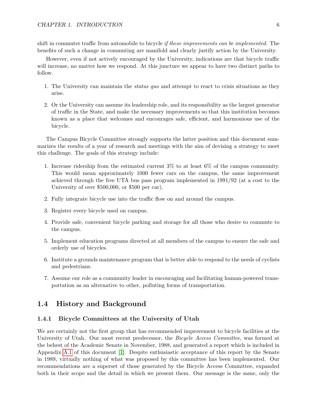shift in commuter traffic from automobile to bicycle *if these improvements can be implemented*. The benefits of such a change in commuting are manifold and clearly justify action by the University.

However, even if not actively encouraged by the University, indications are that bicycle traffic will increase, no matter how we respond. At this juncture we appear to have two distinct paths to follow.

- 1. The University can maintain the status quo and attempt to react to crisis situations as they arise.
- 2. Or the University can assume its leadership role, and its responsibility as the largest generator of traffic in the State, and make the necessary improvements so that this institution becomes known as a place that welcomes and encourages safe, efficient, and harmonious use of the bicycle.

The Campus Bicycle Committee strongly supports the latter position and this document summarizes the results of a year of research and meetings with the aim of devising a strategy to meet this challenge. The goals of this strategy include:

- 1. Increase ridership from the estimated current 3% to at least 6% of the campus community. This would mean approximately 1000 fewer cars on the campus, the same improvement achieved through the free UTA bus pass program implemented in 1991/92 (at a cost to the University of over \$500,000, or \$500 per car).
- 2. Fully integrate bicycle use into the traffic flow on and around the campus.
- 3. Register every bicycle used on campus.
- 4. Provide safe, convenient bicycle parking and storage for all those who desire to commute to the campus.
- 5. Implement education programs directed at all members of the campus to ensure the safe and orderly use of bicycles.
- 6. Institute a grounds maintenance program that is better able to respond to the needs of cyclists and pedestrians.
- 7. Assume our role as a community leader in encouraging and facilitating human-powered transportation as an alternative to other, polluting forms of transportation.

#### <span id="page-5-0"></span>1.4 History and Background

#### 1.4.1 Bicycle Committees at the University of Utah

We are certainly not the first group that has recommended improvement to bicycle facilities at the University of Utah. Our most recent predecessor, the Bicycle Access Committee, was formed at the behest of the Academic Senate in November, 1988, and generated a report which is included in Appendix [A.1](#page-34-1) of this document [\[1\]](#page-36-0). Despite enthusiastic acceptance of this report by the Senate in 1989, virtually nothing of what was proposed by this committee has been implemented. Our recommendations are a superset of those generated by the Bicycle Access Committee, expanded both in their scope and the detail in which we present them. Our message is the same, only the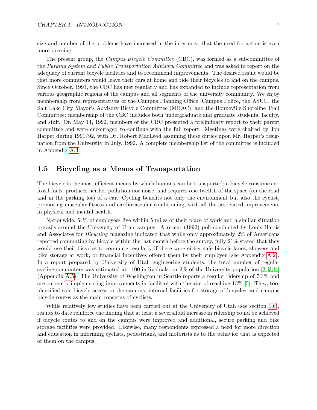size and number of the problems have increased in the interim so that the need for action is even more pressing.

The present group, the *Campus Bicycle Committee* (CBC), was formed as a subcommittee of the Parking System and Public Transportation Advisory Committee and was asked to report on the adequacy of current bicycle facilities and to recommend improvements. The desired result would be that more commuters would leave their cars at home and ride their bicycles to and on the campus. Since October, 1991, the CBC has met regularly and has expanded to include representation from various geographic regions of the campus and all segments of the university community. We enjoy membership from representatives of the Campus Planning Office, Campus Police, the ASUU, the Salt Lake City Mayor's Advisory Bicycle Committee (MBAC), and the Bonneville Shoreline Trail Committee; membership of the CBC includes both undergraduate and graduate students, faculty, and staff. On May 14, 1992, members of the CBC presented a preliminary report to their parent committee and were encouraged to continue with the full report. Meetings were chaired by Jon Harper during 1991/92, with Dr. Robert MacLeod assuming these duties upon Mr. Harper's resignation from the University in July, 1992. A complete membership list of the committee is included in Appendix [A.3.](#page-34-3)

### <span id="page-6-0"></span>1.5 Bicycling as a Means of Transportation

The bicycle is the most efficient means by which humans can be transported; a bicycle consumes no fossil fuels, produces neither pollution nor noise, and requires one-twelfth of the space (on the road and in the parking lot) of a car. Cycling benefits not only the environment but also the cyclist, promoting muscular fitness and cardiovascular conditioning, with all the associated improvements in physical and mental health.

Nationwide, 54% of employees live within 5 miles of their place of work and a similar situation prevails around the University of Utah campus. A recent (1992) poll conducted by Louis Harris and Associates for Bicycling magazine indicated that while only approximately 2% of Americans reported commuting by bicycle within the last month before the survey, fully 21% stated that they would use their bicycles to commute regularly if there were either safe bicycle lanes, showers and bike storage at work, or financial incentives offered them by their employer (see Appendix [A.2\)](#page-34-2). In a report prepared by University of Utah engineering students, the total number of regular cycling commuters was estimated at 1100 individuals. or  $3\%$  of the University population [\[2,](#page-36-1) [3,](#page-36-2) [4\]](#page-36-3) (Appendix [A.5\)](#page-35-1). The University of Washington in Seattle reports a regular ridership of 7.3% and are currently implementing improvements in facilities with the aim of reaching 15% [\[5\]](#page-36-4). They, too, identified safe bicycle access to the campus, internal facilities for storage of bicycles, and campus bicycle routes as the main concerns of cyclists.

While relatively few studies have been carried out at the University of Utah (see section [1.6\)](#page-7-0), results to date reinforce the finding that at least a severalfold increase in ridership could be achieved if bicycle routes to and on the campus were improved and additional, secure parking and bike storage facilities were provided. Likewise, many respondents expressed a need for more direction and education in informing cyclists, pedestrians, and motorists as to the behavior that is expected of them on the campus.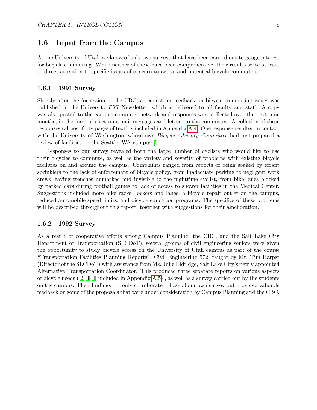#### <span id="page-7-0"></span>1.6 Input from the Campus

At the University of Utah we know of only two surveys that have been carried out to gauge interest for bicycle commuting. While neither of these have been comprehensive, their results serve at least to direct attention to specific issues of concern to active and potential bicycle commuters.

#### 1.6.1 1991 Survey

Shortly after the formation of the CBC, a request for feedback on bicycle commuting issues was published in the University FYI Newsletter, which is delivered to all faculty and staff. A copy was also posted to the campus computer network and responses were collected over the next nine months, in the form of electronic mail messages and letters to the committee. A collation of these responses (almost forty pages of text) is included in Appendix [A.4.](#page-35-0) One response resulted in contact with the University of Washington, whose own *Bicycle Advisory Committee* had just prepared a review of facilities on the Seattle, WA campus [\[5\]](#page-36-4).

Responses to our survey revealed both the large number of cyclists who would like to use their bicycles to commute, as well as the variety and severity of problems with existing bicycle facilities on and around the campus. Complaints ranged from reports of being soaked by errant sprinklers to the lack of enforcement of bicycle policy, from inadequate parking to negligent work crews leaving trenches unmarked and invisible to the nighttime cyclist, from bike lanes blocked by parked cars during football games to lack of access to shower facilities in the Medical Center. Suggestions included more bike racks, lockers and lanes, a bicycle repair outlet on the campus, reduced automobile speed limits, and bicycle education programs. The specifics of these problems will be described throughout this report, together with suggestions for their amelioration.

#### 1.6.2 1992 Survey

As a result of cooperative efforts among Campus Planning, the CBC, and the Salt Lake City Department of Transportation (SLCDoT), several groups of civil engineering seniors were given the opportunity to study bicycle access on the University of Utah campus as part of the course "Transportation Facilities Planning Reports", Civil Engineering 572, taught by Mr. Tim Harpst (Director of the SLCDoT) with assistance from Ms. Julie Eldridge, Salt Lake City's newly appointed Alternative Transportation Coordinator. This produced three separate reports on various aspects of bicycle needs  $(2, 3, 4]$  $(2, 3, 4]$  $(2, 3, 4]$  included in Appendix [A.5\)](#page-35-1), as well as a survey carried out by the students on the campus. Their findings not only corroborated those of our own survey but provided valuable feedback on some of the proposals that were under consideration by Campus Planning and the CBC.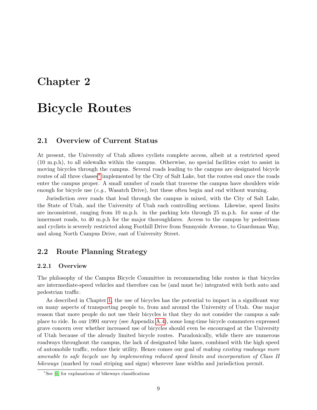## <span id="page-8-0"></span>Chapter 2

# Bicycle Routes

#### <span id="page-8-1"></span>2.1 Overview of Current Status

At present, the University of Utah allows cyclists complete access, albeit at a restricted speed (10 m.p.h), to all sidewalks within the campus. Otherwise, no special facilities exist to assist in moving bicycles through the campus. Several roads leading to the campus are designated bicycle routes of all three classes[∗](#page-8-3) implemented by the City of Salt Lake, but the routes end once the roads enter the campus proper. A small number of roads that traverse the campus have shoulders wide enough for bicycle use  $(e.g.,$  Wasatch Drive), but these often begin and end without warning.

Jurisdiction over roads that lead through the campus is mixed, with the City of Salt Lake, the State of Utah, and the University of Utah each controlling sections. Likewise, speed limits are inconsistent, ranging from 10 m.p.h. in the parking lots through 25 m.p.h. for some of the innermost roads, to 40 m.p.h for the major thoroughfares. Access to the campus by pedestrians and cyclists is severely restricted along Foothill Drive from Sunnyside Avenue, to Guardsman Way, and along North Campus Drive, east of University Street.

### <span id="page-8-2"></span>2.2 Route Planning Strategy

#### 2.2.1 Overview

The philosophy of the Campus Bicycle Committee in recommending bike routes is that bicycles are intermediate-speed vehicles and therefore can be (and must be) integrated with both auto and pedestrian traffic.

As described in Chapter [1,](#page-3-0) the use of bicycles has the potential to impact in a significant way on many aspects of transporting people to, from and around the University of Utah. One major reason that more people do not use their bicycles is that they do not consider the campus a safe place to ride. In our 1991 survey (see Appendix [A.4\)](#page-35-0), some long-time bicycle commuters expressed grave concern over whether increased use of bicycles should even be encouraged at the University of Utah because of the already limited bicycle routes. Paradoxically, while there are numerous roadways throughout the campus, the lack of designated bike lanes, combined with the high speed of automobile traffic, reduce their utility. Hence comes our goal of making existing roadways more amenable to safe bicycle use by implementing reduced speed limits and incorporation of Class II bikeways (marked by road striping and signs) wherever lane widths and jurisdiction permit.

<span id="page-8-3"></span><sup>∗</sup>See [\[6\]](#page-36-5) for explanations of bikeways classifications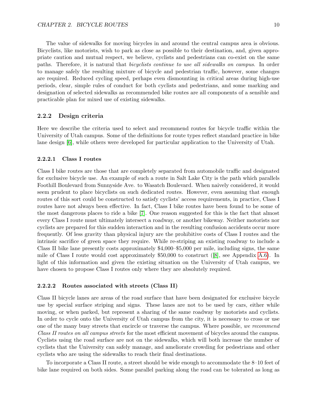The value of sidewalks for moving bicycles in and around the central campus area is obvious. Bicyclists, like motorists, wish to park as close as possible to their destination, and, given appropriate caution and mutual respect, we believe, cyclists and pedestrians can co-exist on the same paths. Therefore, it is natural that bicyclists continue to use all sidewalks on campus. In order to manage safely the resulting mixture of bicycle and pedestrian traffic, however, some changes are required. Reduced cycling speed, perhaps even dismounting in critical areas during high-use periods, clear, simple rules of conduct for both cyclists and pedestrians, and some marking and designation of selected sidewalks as recommended bike routes are all components of a sensible and practicable plan for mixed use of existing sidewalks.

#### 2.2.2 Design criteria

Here we describe the criteria used to select and recommend routes for bicycle traffic within the University of Utah campus. Some of the definitions for route types reflect standard practice in bike lane design [\[6\]](#page-36-5), while others were developed for particular application to the University of Utah.

#### 2.2.2.1 Class I routes

Class I bike routes are those that are completely separated from automobile traffic and designated for exclusive bicycle use. An example of such a route in Salt Lake City is the path which parallels Foothill Boulevard from Sunnyside Ave. to Wasatch Boulevard. When naively considered, it would seem prudent to place bicyclists on such dedicated routes. However, even assuming that enough routes of this sort could be constructed to satisfy cyclists' access requirements, in practice, Class I routes have not always been effective. In fact, Class I bike routes have been found to be some of the most dangerous places to ride a bike [\[7\]](#page-36-6). One reason suggested for this is the fact that almost every Class I route must ultimately intersect a roadway, or another bikeway. Neither motorists nor cyclists are prepared for this sudden interaction and in the resulting confusion accidents occur more frequently. Of less gravity than physical injury are the prohibitive costs of Class I routes and the intrinsic sacrifice of green space they require. While re-striping an existing roadway to include a Class II bike lane presently costs approximately \$4,000–\$5,000 per mile, including signs, the same mile of Class I route would cost approximately \$50,000 to construct ([\[8\]](#page-36-7), see Appendix [A.6\)](#page-35-2). In light of this information and given the existing situation on the University of Utah campus, we have chosen to propose Class I routes only where they are absolutely required.

#### 2.2.2.2 Routes associated with streets (Class II)

Class II bicycle lanes are areas of the road surface that have been designated for exclusive bicycle use by special surface striping and signs. These lanes are not to be used by cars, either while moving, or when parked, but represent a sharing of the same roadway by motorists and cyclists. In order to cycle onto the University of Utah campus from the city, it is necessary to cross or use one of the many busy streets that encircle or traverse the campus. Where possible, we recommend Class II routes on all campus streets for the most efficient movement of bicycles around the campus. Cyclists using the road surface are not on the sidewalks, which will both increase the number of cyclists that the University can safely manage, and ameliorate crowding for pedestrians and other cyclists who are using the sidewalks to reach their final destinations.

To incorporate a Class II route, a street should be wide enough to accommodate the 8–10 feet of bike lane required on both sides. Some parallel parking along the road can be tolerated as long as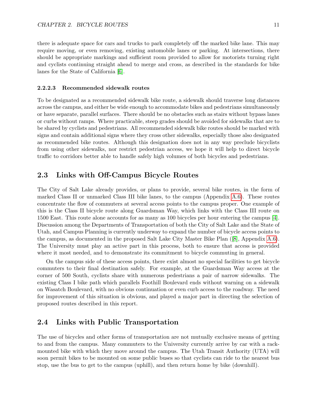there is adequate space for cars and trucks to park completely off the marked bike lane. This may require moving, or even removing, existing automobile lanes or parking. At intersections, there should be appropriate markings and sufficient room provided to allow for motorists turning right and cyclists continuing straight ahead to merge and cross, as described in the standards for bike lanes for the State of California [\[6\]](#page-36-5).

#### <span id="page-10-2"></span>2.2.2.3 Recommended sidewalk routes

To be designated as a recommended sidewalk bike route, a sidewalk should traverse long distances across the campus, and either be wide enough to accommodate bikes and pedestrians simultaneously or have separate, parallel surfaces. There should be no obstacles such as stairs without bypass lanes or curbs without ramps. Where practicable, steep grades should be avoided for sidewalks that are to be shared by cyclists and pedestrians. All recommended sidewalk bike routes should be marked with signs and contain additional signs where they cross other sidewalks, especially those also designated as recommended bike routes. Although this designation does not in any way preclude bicyclists from using other sidewalks, nor restrict pedestrian access, we hope it will help to direct bicycle traffic to corridors better able to handle safely high volumes of both bicycles and pedestrians.

#### <span id="page-10-0"></span>2.3 Links with Off-Campus Bicycle Routes

The City of Salt Lake already provides, or plans to provide, several bike routes, in the form of marked Class II or unmarked Class III bike lanes, to the campus (Appendix [A.6\)](#page-35-2). These routes concentrate the flow of commuters at several access points to the campus proper. One example of this is the Class II bicycle route along Guardsman Way, which links with the Class III route on 1500 East. This route alone accounts for as many as 100 bicycles per hour entering the campus [\[4\]](#page-36-3). Discussion among the Departments of Transportation of both the City of Salt Lake and the State of Utah, and Campus Planning is currently underway to expand the number of bicycle access points to the campus, as documented in the proposed Salt Lake City Master Bike Plan ([\[8\]](#page-36-7), Appendix [A.6\)](#page-35-2). The University must play an active part in this process, both to ensure that access is provided where it most needed, and to demonstrate its commitment to bicycle commuting in general.

On the campus side of these access points, there exist almost no special facilities to get bicycle commuters to their final destination safely. For example, at the Guardsman Way access at the corner of 500 South, cyclists share with numerous pedestrians a pair of narrow sidewalks. The existing Class I bike path which parallels Foothill Boulevard ends without warning on a sidewalk on Wasatch Boulevard, with no obvious continuation or even curb access to the roadway. The need for improvement of this situation is obvious, and played a major part in directing the selection of proposed routes described in this report.

#### <span id="page-10-1"></span>2.4 Links with Public Transportation

The use of bicycles and other forms of transportation are not mutually exclusive means of getting to and from the campus. Many commuters to the University currently arrive by car with a rackmounted bike with which they move around the campus. The Utah Transit Authority (UTA) will soon permit bikes to be mounted on some public buses so that cyclists can ride to the nearest bus stop, use the bus to get to the campus (uphill), and then return home by bike (downhill).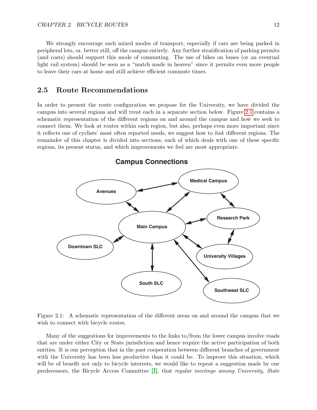We strongly encourage such mixed modes of transport, especially if cars are being parked in peripheral lots, or, better still, off the campus entirely. Any further stratification of parking permits (and costs) should support this mode of commuting. The use of bikes on buses (or an eventual light rail system) should be seen as a "match made in heaven" since it permits even more people to leave their cars at home and still achieve efficient commute times.

#### <span id="page-11-0"></span>2.5 Route Recommendations

In order to present the route configuration we propose for the University, we have divided the campus into several regions and will treat each in a separate section below. Figure [2.1](#page-11-1) contains a schematic representation of the different regions on and around the campus and how we seek to connect them. We look at routes within each region, but also, perhaps even more important since it reflects one of cyclists' most often reported needs, we suggest how to link different regions. The remainder of this chapter is divided into sections, each of which deals with one of these specific regions, its present status, and which improvements we feel are most appropriate.



<span id="page-11-1"></span>Figure 2.1: A schematic representation of the different areas on and around the campus that we wish to connect with bicycle routes.

Many of the suggestions for improvements to the links to/from the lower campus involve roads that are under either City or State jurisdiction and hence require the active participation of both entities. It is our perception that in the past cooperation between different branches of government with the University has been less productive than it could be. To improve this situation, which will be of benefit not only to bicycle interests, we would like to repeat a suggestion made by our predecessors, the Bicycle Access Committee [\[1\]](#page-36-0), that regular meetings among University, State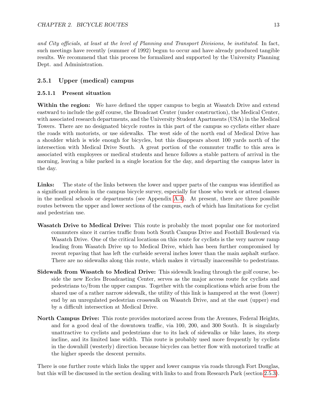and City officials, at least at the level of Planning and Transport Divisions, be instituted. In fact, such meetings have recently (summer of 1992) begun to occur and have already produced tangible results. We recommend that this process be formalized and supported by the University Planning Dept. and Administration.

#### <span id="page-12-0"></span>2.5.1 Upper (medical) campus

#### 2.5.1.1 Present situation

Within the region: We have defined the upper campus to begin at Wasatch Drive and extend eastward to include the golf course, the Broadcast Center (under construction), the Medical Center, with associated research departments, and the University Student Apartments (USA) in the Medical Towers. There are no designated bicycle routes in this part of the campus so cyclists either share the roads with motorists, or use sidewalks. The west side of the north end of Medical Drive has a shoulder which is wide enough for bicycles, but this disappears about 100 yards north of the intersection with Medical Drive South. A great portion of the commuter traffic to this area is associated with employees or medical students and hence follows a stable pattern of arrival in the morning, leaving a bike parked in a single location for the day, and departing the campus later in the day.

Links: The state of the links between the lower and upper parts of the campus was identified as a significant problem in the campus bicycle survey, especially for those who work or attend classes in the medical schools or departments (see Appendix [A.4\)](#page-35-0). At present, there are three possible routes between the upper and lower sections of the campus, each of which has limitations for cyclist and pedestrian use.

- Wasatch Drive to Medical Drive: This route is probably the most popular one for motorized commuters since it carries traffic from both South Campus Drive and Foothill Boulevard via Wasatch Drive. One of the critical locations on this route for cyclists is the very narrow ramp leading from Wasatch Drive up to Medical Drive, which has been further compromised by recent repaving that has left the curbside several inches lower than the main asphalt surface. There are no sidewalks along this route, which makes it virtually inaccessible to pedestrians.
- Sidewalk from Wasatch to Medical Drive: This sidewalk leading through the golf course, beside the new Eccles Broadcasting Center, serves as the major access route for cyclists and pedestrians to/from the upper campus. Together with the complications which arise from the shared use of a rather narrow sidewalk, the utility of this link is hampered at the west (lower) end by an unregulated pedestrian crosswalk on Wasatch Drive, and at the east (upper) end by a difficult intersection at Medical Drive.
- North Campus Drive: This route provides motorized access from the Avenues, Federal Heights, and for a good deal of the downtown traffic, via 100, 200, and 300 South. It is singularly unattractive to cyclists and pedestrians due to its lack of sidewalks or bike lanes, its steep incline, and its limited lane width. This route is probably used more frequently by cyclists in the downhill (westerly) direction because bicycles can better flow with motorized traffic at the higher speeds the descent permits.

There is one further route which links the upper and lower campus via roads through Fort Douglas, but this will be discussed in the section dealing with links to and from Research Park (section [2.5.3\)](#page-19-0).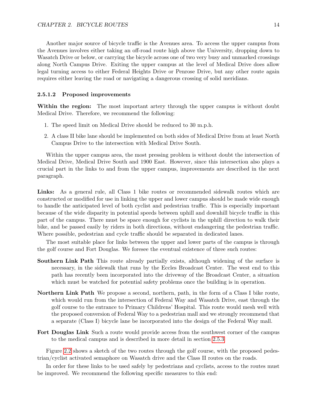Another major source of bicycle traffic is the Avenues area. To access the upper campus from the Avenues involves either taking an off-road route high above the University, dropping down to Wasatch Drive or below, or carrying the bicycle across one of two very busy and unmarked crossings along North Campus Drive. Exiting the upper campus at the level of Medical Drive does allow legal turning access to either Federal Heights Drive or Penrose Drive, but any other route again requires either leaving the road or navigating a dangerous crossing of solid meridians.

#### 2.5.1.2 Proposed improvements

Within the region: The most important artery through the upper campus is without doubt Medical Drive. Therefore, we recommend the following:

- 1. The speed limit on Medical Drive should be reduced to 30 m.p.h.
- 2. A class II bike lane should be implemented on both sides of Medical Drive from at least North Campus Drive to the intersection with Medical Drive South.

Within the upper campus area, the most pressing problem is without doubt the intersection of Medical Drive, Medical Drive South and 1900 East. However, since this intersection also plays a crucial part in the links to and from the upper campus, improvements are described in the next paragraph.

Links: As a general rule, all Class 1 bike routes or recommended sidewalk routes which are constructed or modified for use in linking the upper and lower campus should be made wide enough to handle the anticipated level of both cyclist and pedestrian traffic. This is especially important because of the wide disparity in potential speeds between uphill and downhill bicycle traffic in this part of the campus. There must be space enough for cyclists in the uphill direction to walk their bike, and be passed easily by riders in both directions, without endangering the pedestrian traffic. Where possible, pedestrian and cycle traffic should be separated in dedicated lanes.

The most suitable place for links between the upper and lower parts of the campus is through the golf course and Fort Douglas. We foresee the eventual existence of three such routes:

- Southern Link Path This route already partially exists, although widening of the surface is necessary, in the sidewalk that runs by the Eccles Broadcast Center. The west end to this path has recently been incorporated into the driveway of the Broadcast Center, a situation which must be watched for potential safety problems once the building is in operation.
- Northern Link Path We propose a second, northern, path, in the form of a Class I bike route, which would run from the intersection of Federal Way and Wasatch Drive, east through the golf course to the entrance to Primary Childrens' Hospital. This route would mesh well with the proposed conversion of Federal Way to a pedestrian mall and we strongly recommend that a separate (Class I) bicycle lane be incorporated into the design of the Federal Way mall.
- Fort Douglas Link Such a route would provide access from the southwest corner of the campus to the medical campus and is described in more detail in section [2.5.3](#page-19-0)

Figure [2.2](#page-14-0) shows a sketch of the two routes through the golf course, with the proposed pedestrian/cyclist activated semaphore on Wasatch drive and the Class II routes on the roads.

In order for these links to be used safely by pedestrians and cyclists, access to the routes must be improved. We recommend the following specific measures to this end: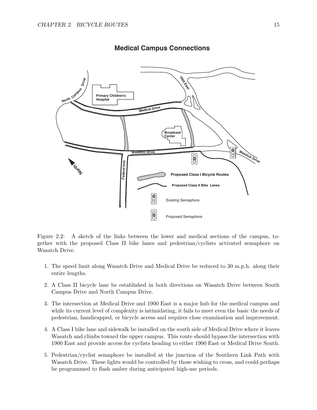

#### **Medical Campus Connections**

<span id="page-14-0"></span>Figure 2.2: A sketch of the links between the lower and medical sections of the campus, together with the proposed Class II bike lanes and pedestrian/cyclists activated semaphore on Wasatch Drive.

- 1. The speed limit along Wasatch Drive and Medical Drive be reduced to 30 m.p.h. along their entire lengths.
- 2. A Class II bicycle lane be established in both directions on Wasatch Drive between South Campus Drive and North Campus Drive.
- 3. The intersection at Medical Drive and 1900 East is a major hub for the medical campus and while its current level of complexity is intimidating, it fails to meet even the basic the needs of pedestrian, handicapped, or bicycle access and requires close examination and improvement.
- 4. A Class I bike lane and sidewalk be installed on the south side of Medical Drive where it leaves Wasatch and climbs toward the upper campus. This route should bypass the intersection with 1900 East and provide access for cyclists heading to either 1900 East or Medical Drive South.
- 5. Pedestrian/cyclist semaphore be installed at the junction of the Southern Link Path with Wasatch Drive. These lights would be controlled by those wishing to cross, and could perhaps be programmed to flash amber during anticipated high-use periods.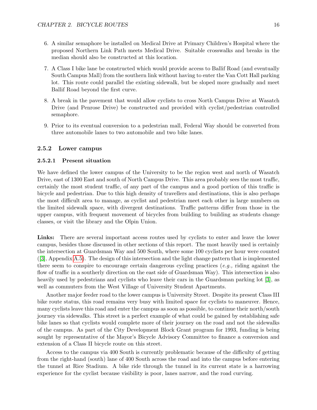- 6. A similar semaphore be installed on Medical Drive at Primary Children's Hospital where the proposed Northern Link Path meets Medical Drive. Suitable crosswalks and breaks in the median should also be constructed at this location.
- 7. A Class I bike lane be constructed which would provide access to Ballif Road (and eventually South Campus Mall) from the southern link without having to enter the Van Cott Hall parking lot. This route could parallel the existing sidewalk, but be sloped more gradually and meet Ballif Road beyond the first curve.
- 8. A break in the pavement that would allow cyclists to cross North Campus Drive at Wasatch Drive (and Penrose Drive) be constructed and provided with cyclist/pedestrian controlled semaphore.
- 9. Prior to its eventual conversion to a pedestrian mall, Federal Way should be converted from three automobile lanes to two automobile and two bike lanes.

#### <span id="page-15-0"></span>2.5.2 Lower campus

#### 2.5.2.1 Present situation

We have defined the lower campus of the University to be the region west and north of Wasatch Drive, east of 1300 East and south of North Campus Drive. This area probably sees the most traffic, certainly the most student traffic, of any part of the campus and a good portion of this traffic is bicycle and pedestrian. Due to this high density of travellers and destinations, this is also perhaps the most difficult area to manage, as cyclist and pedestrian meet each other in large numbers on the limited sidewalk space, with divergent destinations. Traffic patterns differ from those in the upper campus, with frequent movement of bicycles from building to building as students change classes, or visit the library and the Olpin Union.

Links: There are several important access routes used by cyclists to enter and leave the lower campus, besides those discussed in other sections of this report. The most heavily used is certainly the intersection at Guardsman Way and 500 South, where some 100 cyclists per hour were counted ([\[3\]](#page-36-2), Appendix [A.5\)](#page-35-1). The design of this intersection and the light change pattern that is implemented there seem to conspire to encourage certain dangerous cycling practices  $(e,q)$ , riding against the flow of traffic in a southerly direction on the east side of Guardsman Way). This intersection is also heavily used by pedestrians and cyclists who leave their cars in the Guardsman parking lot [\[3\]](#page-36-2), as well as commuters from the West Village of University Student Apartments.

Another major feeder road to the lower campus is University Street. Despite its present Class III bike route status, this road remains very busy with limited space for cyclists to maneuver. Hence, many cyclists leave this road and enter the campus as soon as possible, to continue their north/south journey via sidewalks. This street is a perfect example of what could be gained by establishing safe bike lanes so that cyclists would complete more of their journey on the road and not the sidewalks of the campus. As part of the City Development Block Grant program for 1993, funding is being sought by representative of the Mayor's Bicycle Advisory Committee to finance a conversion and extension of a Class II bicycle route on this street.

Access to the campus via 400 South is currently problematic because of the difficulty of getting from the right-hand (south) lane of 400 South across the road and into the campus before entering the tunnel at Rice Stadium. A bike ride through the tunnel in its current state is a harrowing experience for the cyclist because visibility is poor, lanes narrow, and the road curving.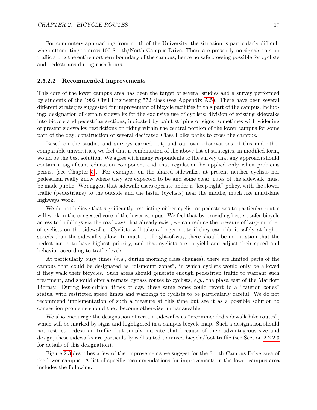For commuters approaching from north of the University, the situation is particularly difficult when attempting to cross 100 South/North Campus Drive. There are presently no signals to stop traffic along the entire northern boundary of the campus, hence no safe crossing possible for cyclists and pedestrians during rush hours.

#### 2.5.2.2 Recommended improvements

This core of the lower campus area has been the target of several studies and a survey performed by students of the 1992 Civil Engineering 572 class (see Appendix [A.5\)](#page-35-1). There have been several different strategies suggested for improvement of bicycle facilities in this part of the campus, including: designation of certain sidewalks for the exclusive use of cyclists; division of existing sidewalks into bicycle and pedestrian sections, indicated by paint striping or signs, sometimes with widening of present sidewalks; restrictions on riding within the central portion of the lower campus for some part of the day; construction of several dedicated Class I bike paths to cross the campus.

Based on the studies and surveys carried out, and our own observations of this and other comparable universities, we feel that a combination of the above list of strategies, in modified form, would be the best solution. We agree with many respondents to the survey that any approach should contain a significant education component and that regulation be applied only when problems persist (see Chapter [5\)](#page-30-0). For example, on the shared sidewalks, at present neither cyclists nor pedestrian really know where they are expected to be and some clear 'rules of the sidewalk' must be made public. We suggest that sidewalk users operate under a "keep right" policy, with the slower traffic (pedestrians) to the outside and the faster (cyclists) near the middle, much like multi-lane highways work.

We do not believe that significantly restricting either cyclist or pedestrians to particular routes will work in the congested core of the lower campus. We feel that by providing better, safer bicycle access to buildings via the roadways that already exist, we can reduce the pressure of large number of cyclists on the sidewalks. Cyclists will take a longer route if they can ride it safely at higher speeds than the sidewalks allow. In matters of right-of-way, there should be no question that the pedestrian is to have highest priority, and that cyclists are to yield and adjust their speed and behavior according to traffic levels.

At particularly busy times (e.g., during morning class changes), there are limited parts of the campus that could be designated as "dismount zones", in which cyclists would only be allowed if they walk their bicycles. Such areas should generate enough pedestrian traffic to warrant such treatment, and should offer alternate bypass routes to cyclists, e.g., the plaza east of the Marriott Library. During less-critical times of day, these same zones could revert to a "caution zones" status, with restricted speed limits and warnings to cyclists to be particularly careful. We do not recommend implementation of such a measure at this time but see it as a possible solution to congestion problems should they become otherwise unmanageable.

We also encourage the designation of certain sidewalks as "recommended sidewalk bike routes", which will be marked by signs and highlighted in a campus bicycle map. Such a designation should not restrict pedestrian traffic, but simply indicate that because of their advantageous size and design, these sidewalks are particularly well suited to mixed bicycle/foot traffic (see Section [2.2.2.3](#page-10-2) for details of this designation).

Figure [2.3](#page-17-0) describes a few of the improvements we suggest for the South Campus Drive area of the lower campus. A list of specific recommendations for improvements in the lower campus area includes the following: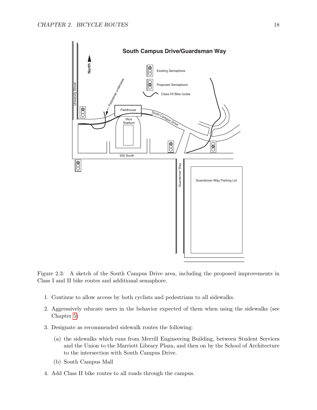

<span id="page-17-0"></span>Figure 2.3: A sketch of the South Campus Drive area, including the proposed improvements in Class I and II bike routes and additional semaphore.

- 1. Continue to allow access by both cyclists and pedestrians to all sidewalks.
- 2. Aggressively educate users in the behavior expected of them when using the sidewalks (see Chapter [5\)](#page-30-0)
- 3. Designate as recommended sidewalk routes the following:
	- (a) the sidewalks which runs from Merrill Engineering Building, between Student Services and the Union to the Marriott Library Plaza, and then on by the School of Architecture to the intersection with South Campus Drive.
	- (b) South Campus Mall
- 4. Add Class II bike routes to all roads through the campus.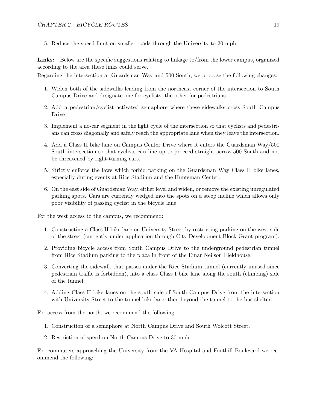5. Reduce the speed limit on smaller roads through the University to 20 mph.

Links: Below are the specific suggestions relating to linkage to/from the lower campus, organized according to the area these links could serve.

Regarding the intersection at Guardsman Way and 500 South, we propose the following changes:

- 1. Widen both of the sidewalks leading from the northeast corner of the intersection to South Campus Drive and designate one for cyclists, the other for pedestrians.
- 2. Add a pedestrian/cyclist activated semaphore where these sidewalks cross South Campus Drive
- 3. Implement a no-car segment in the light cycle of the intersection so that cyclists and pedestrians can cross diagonally and safely reach the appropriate lane when they leave the intersection.
- 4. Add a Class II bike lane on Campus Center Drive where it enters the Guardsman Way/500 South intersection so that cyclists can line up to proceed straight across 500 South and not be threatened by right-turning cars.
- 5. Strictly enforce the laws which forbid parking on the Guardsman Way Class II bike lanes, especially during events at Rice Stadium and the Huntsman Center.
- 6. On the east side of Guardsman Way, either level and widen, or remove the existing unregulated parking spots. Cars are currently wedged into the spots on a steep incline which allows only poor visibility of passing cyclist in the bicycle lane.

For the west access to the campus, we recommend:

- 1. Constructing a Class II bike lane on University Street by restricting parking on the west side of the street (currently under application through City Development Block Grant program).
- 2. Providing bicycle access from South Campus Drive to the underground pedestrian tunnel from Rice Stadium parking to the plaza in front of the Einar Neilson Fieldhouse.
- 3. Converting the sidewalk that passes under the Rice Stadium tunnel (currently unused since pedestrian traffic is forbidden), into a class Class I bike lane along the south (climbing) side of the tunnel.
- 4. Adding Class II bike lanes on the south side of South Campus Drive from the intersection with University Street to the tunnel bike lane, then beyond the tunnel to the bus shelter.

For access from the north, we recommend the following:

- 1. Construction of a semaphore at North Campus Drive and South Wolcott Street.
- 2. Restriction of speed on North Campus Drive to 30 mph.

For commuters approaching the University from the VA Hospital and Foothill Boulevard we recommend the following: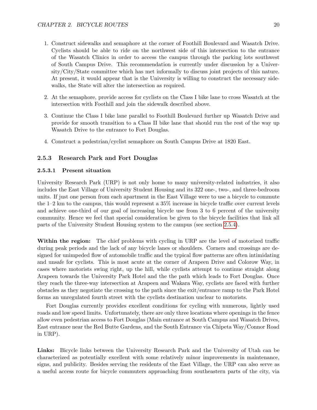- 1. Construct sidewalks and semaphore at the corner of Foothill Boulevard and Wasatch Drive. Cyclists should be able to ride on the northwest side of this intersection to the entrance of the Wasatch Clinics in order to access the campus through the parking lots southwest of South Campus Drive. This recommendation is currently under discussion by a University/City/State committee which has met informally to discuss joint projects of this nature. At present, it would appear that is the University is willing to construct the necessary sidewalks, the State will alter the intersection as required.
- 2. At the semaphore, provide access for cyclists on the Class I bike lane to cross Wasatch at the intersection with Foothill and join the sidewalk described above.
- 3. Continue the Class I bike lane parallel to Foothill Boulevard further up Wasatch Drive and provide for smooth transition to a Class II bike lane that should run the rest of the way up Wasatch Drive to the entrance to Fort Douglas.
- 4. Construct a pedestrian/cyclist semaphore on South Campus Drive at 1820 East.

#### <span id="page-19-0"></span>2.5.3 Research Park and Fort Douglas

#### 2.5.3.1 Present situation

University Research Park (URP) is not only home to many university-related industries, it also includes the East Village of University Student Housing and its 322 one-, two-, and three-bedroom units. If just one person from each apartment in the East Village were to use a bicycle to commute the 1–2 km to the campus, this would represent a 35% increase in bicycle traffic over current levels and achieve one-third of our goal of increasing bicycle use from 3 to 6 percent of the university community. Hence we feel that special consideration be given to the bicycle facilities that link all parts of the University Student Housing system to the campus (see section [2.5.4\)](#page-21-0).

Within the region: The chief problems with cycling in URP are the level of motorized traffic during peak periods and the lack of any bicycle lanes or shoulders. Corners and crossings are designed for unimpeded flow of automobile traffic and the typical flow patterns are often intimidating and unsafe for cyclists. This is most acute at the corner of Arapeen Drive and Colorow Way, in cases where motorists swing right, up the hill, while cyclists attempt to continue straight along Arapeen towards the University Park Hotel and the the path which leads to Fort Douglas. Once they reach the three-way intersection at Arapeen and Wakara Way, cyclists are faced with further obstacles as they negotiate the crossing to the path since the exit/entrance ramp to the Park Hotel forms an unregulated fourth street with the cyclists destination unclear to motorists.

Fort Douglas currently provides excellent conditions for cycling with numerous, lightly used roads and low speed limits. Unfortunately, there are only three locations where openings in the fence allow even pedestrian access to Fort Douglas (Main entrance at South Campus and Wasatch Drives, East entrance near the Red Butte Gardens, and the South Entrance via Chipeta Way/Connor Road in URP).

Links: Bicycle links between the University Research Park and the University of Utah can be characterized as potentially excellent with some relatively minor improvements in maintenance, signs, and publicity. Besides serving the residents of the East Village, the URP can also serve as a useful access route for bicycle commuters approaching from southeastern parts of the city, via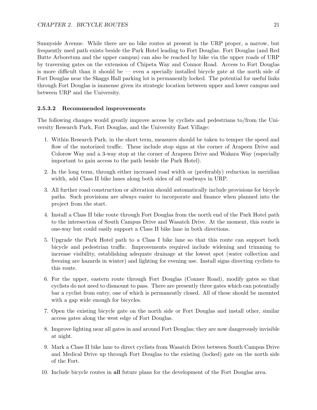Sunnyside Avenue. While there are no bike routes at present in the URP proper, a narrow, but frequently used path exists beside the Park Hotel leading to Fort Douglas. Fort Douglas (and Red Butte Arboretum and the upper campus) can also be reached by bike via the upper roads of URP by traversing gates on the extension of Chipeta Way and Connor Road. Access to Fort Douglas is more difficult than it should be — even a specially installed bicycle gate at the north side of Fort Douglas near the Skaggs Hall parking lot is permanently locked. The potential for useful links through Fort Douglas is immense given its strategic location between upper and lower campus and between URP and the University.

#### 2.5.3.2 Recommended improvements

The following changes would greatly improve access by cyclists and pedestrians to/from the University Research Park, Fort Douglas, and the University East Village:

- 1. Within Research Park, in the short term, measures should be taken to temper the speed and flow of the motorized traffic. These include stop signs at the corner of Arapeen Drive and Colorow Way and a 3-way stop at the corner of Arapeen Drive and Wakara Way (especially important to gain access to the path beside the Park Hotel).
- 2. In the long term, through either increased road width or (preferably) reduction in meridian width, add Class II bike lanes along both sides of all roadways in URP.
- 3. All further road construction or alteration should automatically include provisions for bicycle paths. Such provisions are always easier to incorporate and finance when planned into the project from the start.
- 4. Install a Class II bike route through Fort Douglas from the north end of the Park Hotel path to the intersection of South Campus Drive and Wasatch Drive. At the moment, this route is one-way but could easily support a Class II bike lane in both directions.
- 5. Upgrade the Park Hotel path to a Class I bike lane so that this route can support both bicycle and pedestrian traffic. Improvements required include widening and trimming to increase visibility, establishing adequate drainage at the lowest spot (water collection and freezing are hazards in winter) and lighting for evening use. Install signs directing cyclists to this route.
- 6. For the upper, eastern route through Fort Douglas (Conner Road), modify gates so that cyclists do not need to dismount to pass. There are presently three gates which can potentially bar a cyclist from entry, one of which is permanently closed. All of these should be mounted with a gap wide enough for bicycles.
- 7. Open the existing bicycle gate on the north side or Fort Douglas and install other, similar access gates along the west edge of Fort Douglas.
- 8. Improve lighting near all gates in and around Fort Douglas; they are now dangerously invisible at night.
- 9. Mark a Class II bike lane to direct cyclists from Wasatch Drive between South Campus Drive and Medical Drive up through Fort Douglas to the existing (locked) gate on the north side of the Fort.
- 10. Include bicycle routes in all future plans for the development of the Fort Douglas area.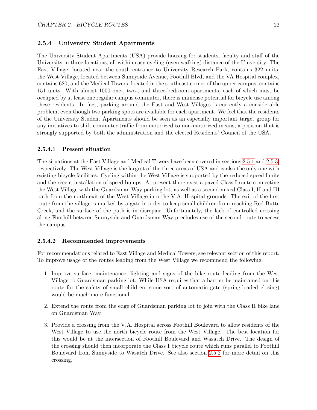#### <span id="page-21-0"></span>2.5.4 University Student Apartments

The University Student Apartments (USA) provide housing for students, faculty and staff of the University in three locations, all within easy cycling (even walking) distance of the University. The East Village, located near the south entrance to University Research Park, contains 322 units, the West Village, located between Sunnyside Avenue, Foothill Blvd, and the VA Hospital complex, contains 620, and the Medical Towers, located in the southeast corner of the upper campus, contains 151 units. With almost 1000 one-, two-, and three-bedroom apartments, each of which must be occupied by at least one regular campus commuter, there is immense potential for bicycle use among these residents. In fact, parking around the East and West Villages is currently a considerable problem, even though two parking spots are available for each apartment. We feel that the residents of the University Student Apartments should be seen as an especially important target group for any initiatives to shift commuter traffic from motorized to non-motorized means, a position that is strongly supported by both the administration and the elected Residents' Council of the USA.

#### 2.5.4.1 Present situation

The situations at the East Village and Medical Towers have been covered in sections [2.5.1](#page-12-0) and [2.5.3,](#page-19-0) respectively. The West Village is the largest of the three areas of USA and is also the only one with existing bicycle facilities. Cycling within the West Village is supported by the reduced speed limits and the recent installation of speed bumps. At present there exist a paved Class I route connecting the West Village with the Guardsman Way parking lot, as well as a second mixed Class I, II and III path from the north exit of the West Village into the V.A. Hospital grounds. The exit of the first route from the village is marked by a gate in order to keep small children from reaching Red Butte Creek, and the surface of the path is in disrepair. Unfortunately, the lack of controlled crossing along Foothill between Sunnyside and Guardsman Way precludes use of the second route to access the campus.

#### 2.5.4.2 Recommended improvements

For recommendations related to East Village and Medical Towers, see relevant section of this report. To improve usage of the routes leading from the West Village we recommend the following:

- 1. Improve surface, maintenance, lighting and signs of the bike route leading from the West Village to Guardsman parking lot. While USA requires that a barrier be maintained on this route for the safety of small children, some sort of automatic gate (spring-loaded closing) would be much more functional.
- 2. Extend the route from the edge of Guardsman parking lot to join with the Class II bike lane on Guardsman Way.
- 3. Provide a crossing from the V.A. Hospital across Foothill Boulevard to allow residents of the West Village to use the north bicycle route from the West Village. The best location for this would be at the intersection of Foothill Boulevard and Wasatch Drive. The design of the crossing should then incorporate the Class I bicycle route which runs parallel to Foothill Boulevard from Sunnyside to Wasatch Drive. See also section [2.5.2](#page-15-0) for more detail on this crossing.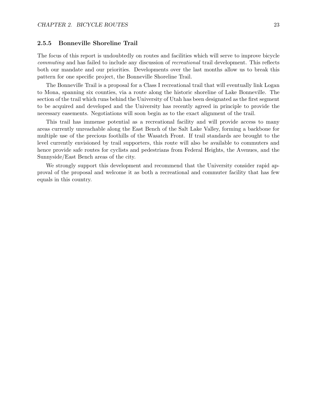#### 2.5.5 Bonneville Shoreline Trail

The focus of this report is undoubtedly on routes and facilities which will serve to improve bicycle commuting and has failed to include any discussion of recreational trail development. This reflects both our mandate and our priorities. Developments over the last months allow us to break this pattern for one specific project, the Bonneville Shoreline Trail.

The Bonneville Trail is a proposal for a Class I recreational trail that will eventually link Logan to Mona, spanning six counties, via a route along the historic shoreline of Lake Bonneville. The section of the trail which runs behind the University of Utah has been designated as the first segment to be acquired and developed and the University has recently agreed in principle to provide the necessary easements. Negotiations will soon begin as to the exact alignment of the trail.

This trail has immense potential as a recreational facility and will provide access to many areas currently unreachable along the East Bench of the Salt Lake Valley, forming a backbone for multiple use of the precious foothills of the Wasatch Front. If trail standards are brought to the level currently envisioned by trail supporters, this route will also be available to commuters and hence provide safe routes for cyclists and pedestrians from Federal Heights, the Avenues, and the Sunnyside/East Bench areas of the city.

We strongly support this development and recommend that the University consider rapid approval of the proposal and welcome it as both a recreational and commuter facility that has few equals in this country.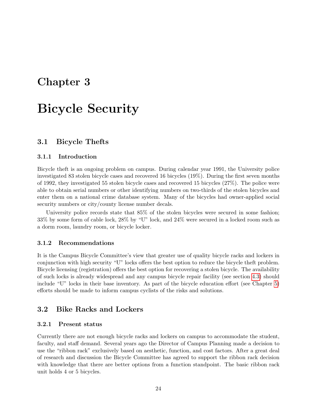# <span id="page-23-0"></span>Chapter 3

# Bicycle Security

#### <span id="page-23-1"></span>3.1 Bicycle Thefts

#### 3.1.1 Introduction

Bicycle theft is an ongoing problem on campus. During calendar year 1991, the University police investigated 83 stolen bicycle cases and recovered 16 bicycles (19%). During the first seven months of 1992, they investigated 55 stolen bicycle cases and recovered 15 bicycles (27%). The police were able to obtain serial numbers or other identifying numbers on two-thirds of the stolen bicycles and enter them on a national crime database system. Many of the bicycles had owner-applied social security numbers or city/county license number decals.

University police records state that 85% of the stolen bicycles were secured in some fashion; 33% by some form of cable lock, 28% by "U" lock, and 24% were secured in a locked room such as a dorm room, laundry room, or bicycle locker.

#### 3.1.2 Recommendations

It is the Campus Bicycle Committee's view that greater use of quality bicycle racks and lockers in conjunction with high security "U" locks offers the best option to reduce the bicycle theft problem. Bicycle licensing (registration) offers the best option for recovering a stolen bicycle. The availability of such locks is already widespread and any campus bicycle repair facility (see section [4.3\)](#page-28-1) should include "U" locks in their base inventory. As part of the bicycle education effort (see Chapter [5\)](#page-30-0) efforts should be made to inform campus cyclists of the risks and solutions.

#### <span id="page-23-2"></span>3.2 Bike Racks and Lockers

#### 3.2.1 Present status

Currently there are not enough bicycle racks and lockers on campus to accommodate the student, faculty, and staff demand. Several years ago the Director of Campus Planning made a decision to use the "ribbon rack" exclusively based on aesthetic, function, and cost factors. After a great deal of research and discussion the Bicycle Committee has agreed to support the ribbon rack decision with knowledge that there are better options from a function standpoint. The basic ribbon rack unit holds 4 or 5 bicycles.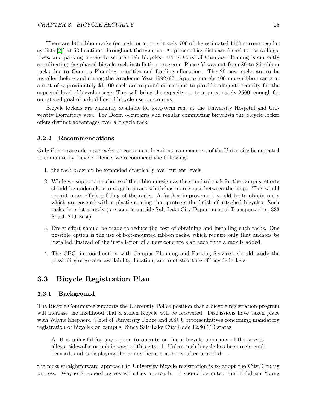There are 140 ribbon racks (enough for approximately 700 of the estimated 1100 current regular cyclists [\[2\]](#page-36-1)) at 53 locations throughout the campus. At present bicyclists are forced to use railings, trees, and parking meters to secure their bicycles. Harry Corsi of Campus Planning is currently coordinating the phased bicycle rack installation program. Phase V was cut from 80 to 26 ribbon racks due to Campus Planning priorities and funding allocation. The 26 new racks are to be installed before and during the Academic Year 1992/93. Approximately 400 more ribbon racks at a cost of approximately \$1,100 each are required on campus to provide adequate security for the expected level of bicycle usage. This will bring the capacity up to approximately 2500, enough for our stated goal of a doubling of bicycle use on campus.

Bicycle lockers are currently available for long-term rent at the University Hospital and University Dormitory area. For Dorm occupants and regular commuting bicyclists the bicycle locker offers distinct advantages over a bicycle rack.

#### 3.2.2 Recommendations

Only if there are adequate racks, at convenient locations, can members of the University be expected to commute by bicycle. Hence, we recommend the following:

- 1. the rack program be expanded drastically over current levels.
- 2. While we support the choice of the ribbon design as the standard rack for the campus, efforts should be undertaken to acquire a rack which has more space between the loops. This would permit more efficient filling of the racks. A further improvement would be to obtain racks which are covered with a plastic coating that protects the finish of attached bicycles. Such racks do exist already (see sample outside Salt Lake City Department of Transportation, 333 South 200 East)
- 3. Every effort should be made to reduce the cost of obtaining and installing such racks. One possible option is the use of bolt-mounted ribbon racks, which require only that anchors be installed, instead of the installation of a new concrete slab each time a rack is added.
- 4. The CBC, in coordination with Campus Planning and Parking Services, should study the possibility of greater availability, location, and rent structure of bicycle lockers.

#### <span id="page-24-0"></span>3.3 Bicycle Registration Plan

#### 3.3.1 Background

The Bicycle Committee supports the University Police position that a bicycle registration program will increase the likelihood that a stolen bicycle will be recovered. Discussions have taken place with Wayne Shepherd, Chief of University Police and ASUU representatives concerning mandatory registration of bicycles on campus. Since Salt Lake City Code 12.80.010 states

A. It is unlawful for any person to operate or ride a bicycle upon any of the streets, alleys, sidewalks or public ways of this city: 1. Unless such bicycle has been registered, licensed, and is displaying the proper license, as hereinafter provided; ...

the most straightforward approach to University bicycle registration is to adopt the City/County process. Wayne Shepherd agrees with this approach. It should be noted that Brigham Young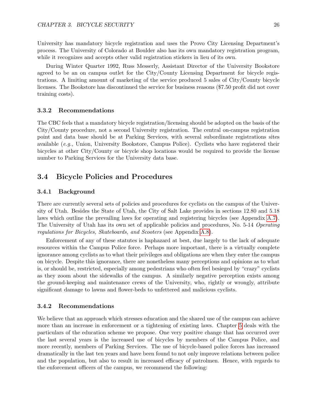University has mandatory bicycle registration and uses the Provo City Licensing Department's process. The University of Colorado at Boulder also has its own mandatory registration program, while it recognizes and accepts other valid registration stickers in lieu of its own.

During Winter Quarter 1992, Russ Messerly, Assistant Director of the University Bookstore agreed to be an on campus outlet for the City/County Licensing Department for bicycle registrations. A limiting amount of marketing of the service produced 5 sales of City/County bicycle licenses. The Bookstore has discontinued the service for business reasons (\$7.50 profit did not cover training costs).

#### 3.3.2 Recommendations

The CBC feels that a mandatory bicycle registration/licensing should be adopted on the basis of the City/County procedure, not a second University registration. The central on-campus registration point and data base should be at Parking Services, with several subordinate registrations sites available (e.g., Union, University Bookstore, Campus Police). Cyclists who have registered their bicycles at other City/County or bicycle shop locations would be required to provide the license number to Parking Services for the University data base.

#### <span id="page-25-0"></span>3.4 Bicycle Policies and Procedures

#### 3.4.1 Background

There are currently several sets of policies and procedures for cyclists on the campus of the University of Utah. Besides the State of Utah, the City of Salt Lake provides in sections 12.80 and 5.18 laws which outline the prevailing laws for operating and registering bicycles (see Appendix [A.7\)](#page-35-3). The University of Utah has its own set of applicable policies and procedures, No. 5-14 Operating regulations for Bicycles, Skateboards, and Scooters (see Appendix [A.8\)](#page-35-4).

Enforcement of any of these statutes is haphazard at best, due largely to the lack of adequate resources within the Campus Police force. Perhaps more important, there is a virtually complete ignorance among cyclists as to what their privileges and obligations are when they enter the campus on bicycle. Despite this ignorance, there are nonetheless many perceptions and opinions as to what is, or should be, restricted, especially among pedestrians who often feel besieged by "crazy" cyclists as they zoom about the sidewalks of the campus. A similarly negative perception exists among the ground-keeping and maintenance crews of the University, who, rightly or wrongly, attribute significant damage to lawns and flower-beds to unfettered and malicious cyclists.

#### 3.4.2 Recommendations

We believe that an approach which stresses education and the shared use of the campus can achieve more than an increase in enforcement or a tightening of existing laws. Chapter [5](#page-30-0) deals with the particulars of the education scheme we propose. One very positive change that has occurred over the last several years is the increased use of bicycles by members of the Campus Police, and more recently, members of Parking Services. The use of bicycle-based police forces has increased dramatically in the last ten years and have been found to not only improve relations between police and the population, but also to result in increased efficacy of patrolmen. Hence, with regards to the enforcement officers of the campus, we recommend the following: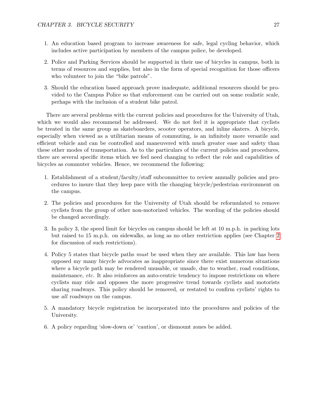- 1. An education based program to increase awareness for safe, legal cycling behavior, which includes active participation by members of the campus police, be developed.
- 2. Police and Parking Services should be supported in their use of bicycles in campus, both in terms of resources and supplies, but also in the form of special recognition for those officers who volunteer to join the "bike patrols".
- 3. Should the education based approach prove inadequate, additional resources should be provided to the Campus Police so that enforcement can be carried out on some realistic scale, perhaps with the inclusion of a student bike patrol.

There are several problems with the current policies and procedures for the University of Utah, which we would also recommend be addressed. We do not feel it is appropriate that cyclists be treated in the same group as skateboarders, scooter operators, and inline skaters. A bicycle, especially when viewed as a utilitarian means of commuting, is an infinitely more versatile and efficient vehicle and can be controlled and maneuvered with much greater ease and safety than these other modes of transportation. As to the particulars of the current policies and procedures, there are several specific items which we feel need changing to reflect the role and capabilities of bicycles as commuter vehicles. Hence, we recommend the following:

- 1. Establishment of a student/faculty/staff subcommittee to review annually policies and procedures to insure that they keep pace with the changing bicycle/pedestrian environment on the campus.
- 2. The policies and procedures for the University of Utah should be reformulated to remove cyclists from the group of other non-motorized vehicles. The wording of the policies should be changed accordingly.
- 3. In policy 3, the speed limit for bicycles on campus should be left at 10 m.p.h. in parking lots but raised to 15 m.p.h. on sidewalks, as long as no other restriction applies (see Chapter [2](#page-8-0) for discussion of such restrictions).
- 4. Policy 5 states that bicycle paths must be used when they are available. This law has been opposed my many bicycle advocates as inappropriate since there exist numerous situations where a bicycle path may be rendered unusable, or unsafe, due to weather, road conditions, maintenance, *etc.* It also reinforces an auto-centric tendency to impose restrictions on where cyclists may ride and opposes the more progressive trend towards cyclists and motorists sharing roadways. This policy should be removed, or restated to confirm cyclists' rights to use all roadways on the campus.
- 5. A mandatory bicycle registration be incorporated into the procedures and policies of the University.
- 6. A policy regarding 'slow-down or' 'caution', or dismount zones be added.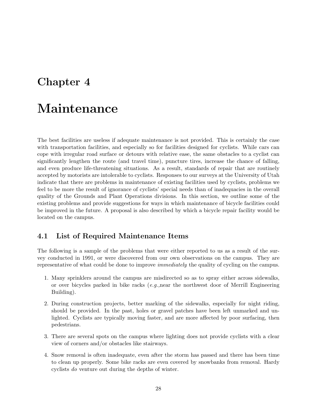# <span id="page-27-0"></span>Chapter 4

# Maintenance

The best facilities are useless if adequate maintenance is not provided. This is certainly the case with transportation facilities, and especially so for facilities designed for cyclists. While cars can cope with irregular road surface or detours with relative ease, the same obstacles to a cyclist can significantly lengthen the route (and travel time), puncture tires, increase the chance of falling, and even produce life-threatening situations. As a result, standards of repair that are routinely accepted by motorists are intolerable to cyclists. Responses to our surveys at the University of Utah indicate that there are problems in maintenance of existing facilities used by cyclists, problems we feel to be more the result of ignorance of cyclists' special needs than of inadequacies in the overall quality of the Grounds and Plant Operations divisions. In this section, we outline some of the existing problems and provide suggestions for ways in which maintenance of bicycle facilities could be improved in the future. A proposal is also described by which a bicycle repair facility would be located on the campus.

### <span id="page-27-1"></span>4.1 List of Required Maintenance Items

The following is a sample of the problems that were either reported to us as a result of the survey conducted in 1991, or were discovered from our own observations on the campus. They are representative of what could be done to improve immediately the quality of cycling on the campus.

- 1. Many sprinklers around the campus are misdirected so as to spray either across sidewalks, or over bicycles parked in bike racks  $(e.g.,$ near the northwest door of Merrill Engineering Building).
- 2. During construction projects, better marking of the sidewalks, especially for night riding, should be provided. In the past, holes or gravel patches have been left unmarked and unlighted. Cyclists are typically moving faster, and are more affected by poor surfacing, then pedestrians.
- 3. There are several spots on the campus where lighting does not provide cyclists with a clear view of corners and/or obstacles like stairways.
- 4. Snow removal is often inadequate, even after the storm has passed and there has been time to clean up properly. Some bike racks are even covered by snowbanks from removal. Hardy cyclists do venture out during the depths of winter.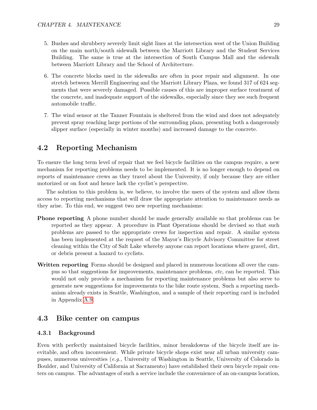- 5. Bushes and shrubbery severely limit sight lines at the intersection west of the Union Building on the main north/south sidewalk between the Marriott Library and the Student Services Building. The same is true at the intersection of South Campus Mall and the sidewalk between Marriott Library and the School of Architecture.
- 6. The concrete blocks used in the sidewalks are often in poor repair and alignment. In one stretch between Merrill Engineering and the Marriott Library Plaza, we found 317 of 624 segments that were severely damaged. Possible causes of this are improper surface treatment of the concrete, and inadequate support of the sidewalks, especially since they see such frequent automobile traffic.
- 7. The wind sensor at the Tanner Fountain is sheltered from the wind and does not adequately prevent spray reaching large portions of the surrounding plaza, presenting both a dangerously slipper surface (especially in winter months) and increased damage to the concrete.

#### <span id="page-28-0"></span>4.2 Reporting Mechanism

To ensure the long term level of repair that we feel bicycle facilities on the campus require, a new mechanism for reporting problems needs to be implemented. It is no longer enough to depend on reports of maintenance crews as they travel about the University, if only because they are either motorized or on foot and hence lack the cyclist's perspective.

The solution to this problem is, we believe, to involve the users of the system and allow them access to reporting mechanisms that will draw the appropriate attention to maintenance needs as they arise. To this end, we suggest two new reporting mechanisms:

- Phone reporting A phone number should be made generally available so that problems can be reported as they appear. A procedure in Plant Operations should be devised so that such problems are passed to the appropriate crews for inspection and repair. A similar system has been implemented at the request of the Mayor's Bicycle Advisory Committee for street cleaning within the City of Salt Lake whereby anyone can report locations where gravel, dirt, or debris present a hazard to cyclists.
- Written reporting Forms should be designed and placed in numerous locations all over the campus so that suggestions for improvements, maintenance problems, etc, can be reported. This would not only provide a mechanism for reporting maintenance problems but also serve to generate new suggestions for improvements to the bike route system. Such a reporting mechanism already exists in Seattle, Washington, and a sample of their reporting card is included in Appendix [A.9.](#page-35-5)

#### <span id="page-28-1"></span>4.3 Bike center on campus

#### 4.3.1 Background

Even with perfectly maintained bicycle facilities, minor breakdowns of the bicycle itself are inevitable, and often inconvenient. While private bicycle shops exist near all urban university campuses, numerous universities (e.g., University of Washington in Seattle, University of Colorado in Boulder, and University of California at Sacramento) have established their own bicycle repair centers on campus. The advantages of such a service include the convenience of an on-campus location,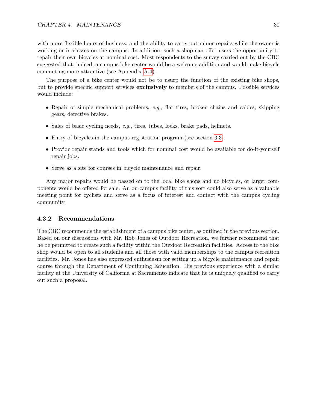with more flexible hours of business, and the ability to carry out minor repairs while the owner is working or in classes on the campus. In addition, such a shop can offer users the opportunity to repair their own bicycles at nominal cost. Most respondents to the survey carried out by the CBC suggested that, indeed, a campus bike center would be a welcome addition and would make bicycle commuting more attractive (see Appendix [A.4\)](#page-35-0).

The purpose of a bike center would not be to usurp the function of the existing bike shops, but to provide specific support services exclusively to members of the campus. Possible services would include:

- Repair of simple mechanical problems, e.g., flat tires, broken chains and cables, skipping gears, defective brakes.
- Sales of basic cycling needs, e.g., tires, tubes, locks, brake pads, helmets.
- Entry of bicycles in the campus registration program (see section [3.3\)](#page-24-0).
- Provide repair stands and tools which for nominal cost would be available for do-it-yourself repair jobs.
- Serve as a site for courses in bicycle maintenance and repair.

Any major repairs would be passed on to the local bike shops and no bicycles, or larger components would be offered for sale. An on-campus facility of this sort could also serve as a valuable meeting point for cyclists and serve as a focus of interest and contact with the campus cycling community.

#### 4.3.2 Recommendations

The CBC recommends the establishment of a campus bike center, as outlined in the previous section. Based on our discussions with Mr. Rob Jones of Outdoor Recreation, we further recommend that he be permitted to create such a facility within the Outdoor Recreation facilities. Access to the bike shop would be open to all students and all those with valid memberships to the campus recreation facilities. Mr. Jones has also expressed enthusiasm for setting up a bicycle maintenance and repair course through the Department of Continuing Education. His previous experience with a similar facility at the University of California at Sacramento indicate that he is uniquely qualified to carry out such a proposal.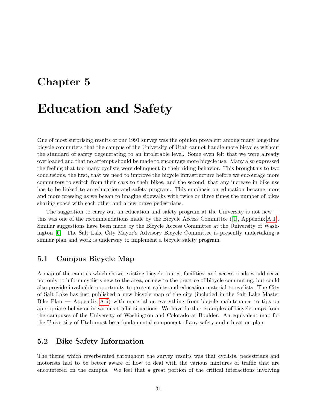# <span id="page-30-0"></span>Chapter 5

# Education and Safety

One of most surprising results of our 1991 survey was the opinion prevalent among many long-time bicycle commuters that the campus of the University of Utah cannot handle more bicycles without the standard of safety degenerating to an intolerable level. Some even felt that we were already overloaded and that no attempt should be made to encourage more bicycle use. Many also expressed the feeling that too many cyclists were delinquent in their riding behavior. This brought us to two conclusions, the first, that we need to improve the bicycle infrastructure before we encourage more commuters to switch from their cars to their bikes, and the second, that any increase in bike use has to be linked to an education and safety program. This emphasis on education became more and more pressing as we began to imagine sidewalks with twice or three times the number of bikes sharing space with each other and a few brave pedestrians.

The suggestion to carry out an education and safety program at the University is not new this was one of the recommendations made by the Bicycle Access Committee ([\[1\]](#page-36-0), Appendix [A.1\)](#page-34-1). Similar suggestions have been made by the Bicycle Access Committee at the University of Washington [\[5\]](#page-36-4). The Salt Lake City Mayor's Advisory Bicycle Committee is presently undertaking a similar plan and work is underway to implement a bicycle safety program.

### <span id="page-30-1"></span>5.1 Campus Bicycle Map

A map of the campus which shows existing bicycle routes, facilities, and access roads would serve not only to inform cyclists new to the area, or new to the practice of bicycle commuting, but could also provide invaluable opportunity to present safety and education material to cyclists. The City of Salt Lake has just published a new bicycle map of the city (included in the Salt Lake Master Bike Plan — Appendix [A.6\)](#page-35-2) with material on everything from bicycle maintenance to tips on appropriate behavior in various traffic situations. We have further examples of bicycle maps from the campuses of the University of Washington and Colorado at Boulder. An equivalent map for the University of Utah must be a fundamental component of any safety and education plan.

#### <span id="page-30-2"></span>5.2 Bike Safety Information

The theme which reverberated throughout the survey results was that cyclists, pedestrians and motorists had to be better aware of how to deal with the various mixtures of traffic that are encountered on the campus. We feel that a great portion of the critical interactions involving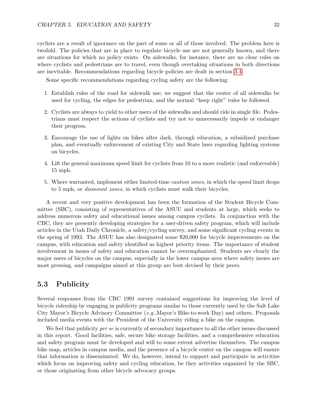cyclists are a result of ignorance on the part of some or all of those involved. The problem here is twofold. The policies that are in place to regulate bicycle use are not generally known, and there are situations for which no policy exists. On sidewalks, for instance, there are no clear rules on where cyclists and pedestrians are to travel, even though overtaking situations in both directions are inevitable. Recommendations regarding bicycle policies are dealt in section [3.4.](#page-25-0)

Some specific recommendations regarding cycling safety are the following:

- 1. Establish rules of the road for sidewalk use; we suggest that the center of all sidewalks be used for cycling, the edges for pedestrian, and the normal "keep right" rules be followed.
- 2. Cyclists are always to yield to other users of the sidewalks and should ride in single file. Pedestrians must respect the actions of cyclists and try not to unnecessarily impede or endanger their progress.
- 3. Encourage the use of lights on bikes after dark, through education, a subsidized purchase plan, and eventually enforcement of existing City and State laws regarding lighting systems on bicycles.
- 4. Lift the general maximum speed limit for cyclists from 10 to a more realistic (and enforceable) 15 mph.
- 5. Where warranted, implement either limited-time caution zones, in which the speed limit drops to 5 mph, or dismount zones, in which cyclists must walk their bicycles.

A recent and very positive development has been the formation of the Student Bicycle Committee (SBC), consisting of representatives of the ASUU and students at large, which seeks to address numerous safety and educational issues among campus cyclists. In conjunction with the CBC, they are presently developing strategies for a user-driven safety program, which will include articles in the Utah Daily Chronicle, a safety/cycling survey, and some significant cycling events in the spring of 1993. The ASUU has also designated some \$20,000 for bicycle improvements on the campus, with education and safety identified as highest priority items. The importance of student involvement in issues of safety and education cannot be overemphasized. Students are clearly the major users of bicycles on the campus, especially in the lower campus area where safety issues are most pressing, and campaigns aimed at this group are best devised by their peers.

### <span id="page-31-0"></span>5.3 Publicity

Several responses from the CBC 1991 survey contained suggestions for improving the level of bicycle ridership by engaging in publicity programs similar to those currently used by the Salt Lake City Mayor's Bicycle Advisory Committee (e.g.,Mayor's Bike-to-work Day) and others. Proposals included media events with the President of the University riding a bike on the campus.

We feel that publicity *per se* is currently of secondary importance to all the other issues discussed in this report. Good facilities, safe, secure bike storage facilities, and a comprehensive education and safety program must be developed and will to some extent advertise themselves. The campus bike map, articles in campus media, and the presence of a bicycle center on the campus will ensure that information is disseminated. We do, however, intend to support and participate in activities which focus on improving safety and cycling education, be they activities organized by the SBC, or those originating from other bicycle advocacy groups.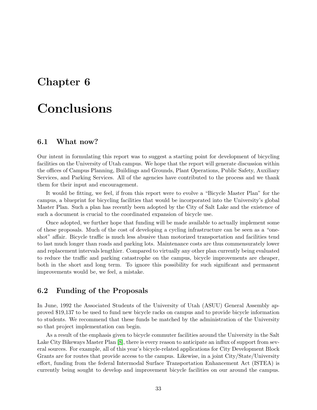# <span id="page-32-0"></span>Chapter 6

# Conclusions

#### <span id="page-32-1"></span>6.1 What now?

Our intent in formulating this report was to suggest a starting point for development of bicycling facilities on the University of Utah campus. We hope that the report will generate discussion within the offices of Campus Planning, Buildings and Grounds, Plant Operations, Public Safety, Auxiliary Services, and Parking Services. All of the agencies have contributed to the process and we thank them for their input and encouragement.

It would be fitting, we feel, if from this report were to evolve a "Bicycle Master Plan" for the campus, a blueprint for bicycling facilities that would be incorporated into the University's global Master Plan. Such a plan has recently been adopted by the City of Salt Lake and the existence of such a document is crucial to the coordinated expansion of bicycle use.

Once adopted, we further hope that funding will be made available to actually implement some of these proposals. Much of the cost of developing a cycling infrastructure can be seen as a "oneshot" affair. Bicycle traffic is much less abusive than motorized transportation and facilities tend to last much longer than roads and parking lots. Maintenance costs are thus commensurately lower and replacement intervals lengthier. Compared to virtually any other plan currently being evaluated to reduce the traffic and parking catastrophe on the campus, bicycle improvements are cheaper, both in the short and long term. To ignore this possibility for such significant and permanent improvements would be, we feel, a mistake.

#### <span id="page-32-2"></span>6.2 Funding of the Proposals

In June, 1992 the Associated Students of the University of Utah (ASUU) General Assembly approved \$19,137 to be used to fund new bicycle racks on campus and to provide bicycle information to students. We recommend that these funds be matched by the administration of the University so that project implementation can begin.

As a result of the emphasis given to bicycle commuter facilities around the University in the Salt Lake City Bikeways Master Plan [\[8\]](#page-36-7), there is every reason to anticipate an influx of support from several sources. For example, all of this year's bicycle-related applications for City Development Block Grants are for routes that provide access to the campus. Likewise, in a joint City/State/University effort, funding from the federal Intermodal Surface Transportation Enhancement Act (ISTEA) is currently being sought to develop and improvement bicycle facilities on our around the campus.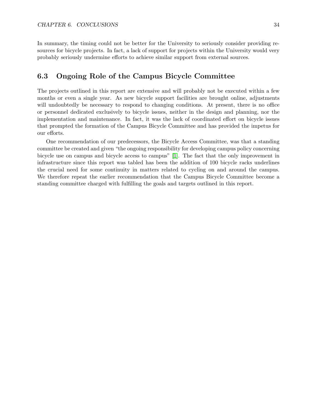In summary, the timing could not be better for the University to seriously consider providing resources for bicycle projects. In fact, a lack of support for projects within the University would very probably seriously undermine efforts to achieve similar support from external sources.

### <span id="page-33-0"></span>6.3 Ongoing Role of the Campus Bicycle Committee

The projects outlined in this report are extensive and will probably not be executed within a few months or even a single year. As new bicycle support facilities are brought online, adjustments will undoubtedly be necessary to respond to changing conditions. At present, there is no office or personnel dedicated exclusively to bicycle issues, neither in the design and planning, nor the implementation and maintenance. In fact, it was the lack of coordinated effort on bicycle issues that prompted the formation of the Campus Bicycle Committee and has provided the impetus for our efforts.

One recommendation of our predecessors, the Bicycle Access Committee, was that a standing committee be created and given "the ongoing responsibility for developing campus policy concerning bicycle use on campus and bicycle access to campus" [\[1\]](#page-36-0). The fact that the only improvement in infrastructure since this report was tabled has been the addition of 100 bicycle racks underlines the crucial need for some continuity in matters related to cycling on and around the campus. We therefore repeat the earlier recommendation that the Campus Bicycle Committee become a standing committee charged with fulfilling the goals and targets outlined in this report.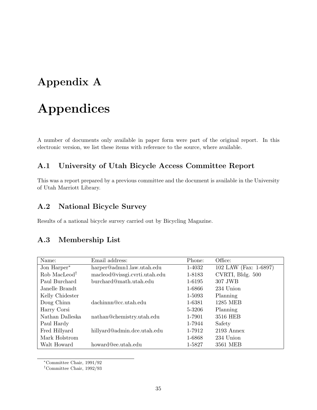# <span id="page-34-0"></span>Appendix A

# Appendices

A number of documents only available in paper form were part of the original report. In this electronic version, we list these items with reference to the source, where available.

## <span id="page-34-1"></span>A.1 University of Utah Bicycle Access Committee Report

This was a report prepared by a previous committee and the document is available in the University of Utah Marriott Library.

## <span id="page-34-2"></span>A.2 National Bicycle Survey

Results of a national bicycle survey carried out by Bicycling Magazine.

### <span id="page-34-3"></span>A.3 Membership List

| Name:                    | Email address:                | Phone: | Office:               |
|--------------------------|-------------------------------|--------|-----------------------|
| Jon Harper <sup>*</sup>  | harper@admn1.law.utah.edu     | 1-4032 | 102 LAW (Fax: 1-6897) |
| Rob MacLeod <sup>†</sup> | macleod@vissgi.cvrti.utah.edu | 1-8183 | CVRTI, Bldg. 500      |
| Paul Burchard            | burchard@math.utah.edu        | 1-6195 | 307 JWB               |
| Janelle Brandt           |                               | 1-6866 | 234 Union             |
| Kelly Chidester          |                               | 1-5093 | Planning              |
| Doug Chinn               | dachinnn@cc.utah.edu          | 1-6381 | <b>1285 MEB</b>       |
| Harry Corsi              |                               | 5-3206 | Planning              |
| Nathan Dalleska          | nathan@chemistry.utah.edu     | 1-7901 | 3516 HEB              |
| Paul Hardy               |                               | 1-7944 | Safety                |
| Fred Hillyard            | hillyard@admin.dce.utah.edu   | 1-7912 | 2193 Annex            |
| Mark Holstrom            |                               | 1-6868 | 234 Union             |
| Walt Howard              | howard@ee.utah.edu            | 1-5827 | 3561 MEB              |

<sup>∗</sup>Committee Chair, 1991/92

†Committee Chair, 1992/93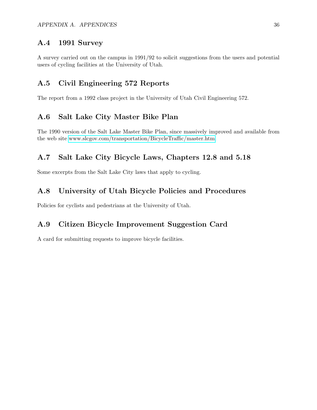#### <span id="page-35-0"></span>A.4 1991 Survey

A survey carried out on the campus in 1991/92 to solicit suggestions from the users and potential users of cycling facilities at the University of Utah.

### <span id="page-35-1"></span>A.5 Civil Engineering 572 Reports

The report from a 1992 class project in the University of Utah Civil Engineering 572.

### <span id="page-35-2"></span>A.6 Salt Lake City Master Bike Plan

The 1990 version of the Salt Lake Master Bike Plan, since massively improved and available from the web site [www.slcgov.com/transportation/BicycleTraffic/master.htm.](http://www.slcgov.com/transportation/BicycleTraffic/master.htm)

### <span id="page-35-3"></span>A.7 Salt Lake City Bicycle Laws, Chapters 12.8 and 5.18

Some excerpts from the Salt Lake City laws that apply to cycling.

### <span id="page-35-4"></span>A.8 University of Utah Bicycle Policies and Procedures

Policies for cyclists and pedestrians at the University of Utah.

### <span id="page-35-5"></span>A.9 Citizen Bicycle Improvement Suggestion Card

A card for submitting requests to improve bicycle facilities.